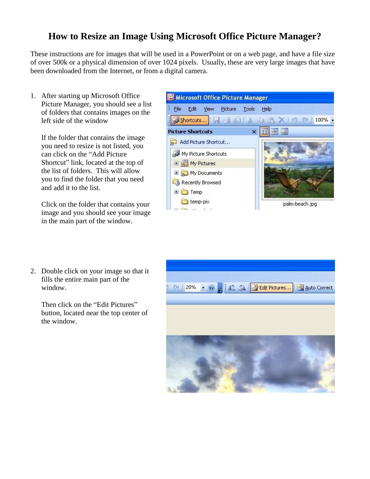## **How to Resize an Image Using Microsoft Office Picture Manager?**

These instructions are for images that will be used in a PowerPoint or on a web page, and have a file size of over 500k or a physical dimension of over 1024 pixels. Usually, these are very large images that have been downloaded from the Internet, or from a digital camera.

1. After starting up Microsoft Office Picture Manager, you should see a list of folders that contains images on the left side of the window

If the folder that contains the image you need to resize is not listed, you can click on the "Add Picture Shortcut" link, located at the top of the list of folders. This will allow you to find the folder that you need and add it to the list.

Click on the folder that contains your image and you should see your image in the main part of the window.

2. Double click on your image so that it fills the entire main part of the window.

Then click on the "Edit Pictures" button, located near the top center of the window.



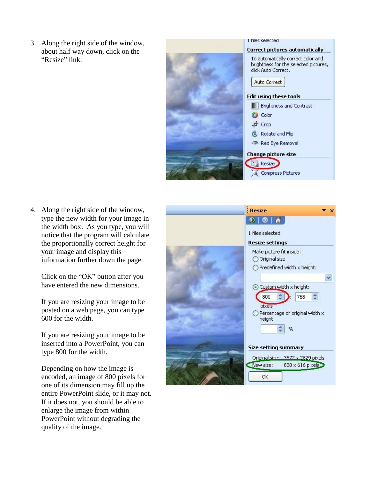3. Along the right side of the window, about half way down, click on the "Resize" link.



4. Along the right side of the window, type the new width for your image in the width box. As you type, you will notice that the program will calculate the proportionally correct height for your image and display this information further down the page.

Click on the "OK" button after you have entered the new dimensions.

If you are resizing your image to be posted on a web page, you can type 600 for the width.

If you are resizing your image to be inserted into a PowerPoint, you can type 800 for the width.

Depending on how the image is encoded, an image of 800 pixels for one of its dimension may fill up the entire PowerPoint slide, or it may not. If it does not, you should be able to enlarge the image from within PowerPoint without degrading the quality of the image.